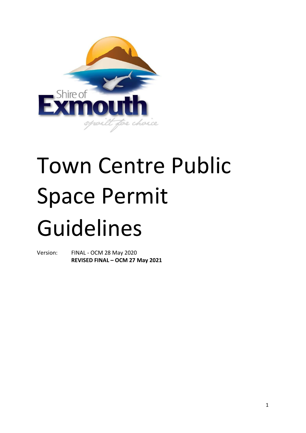

# Town Centre Public Space Permit Guidelines

Version: FINAL - OCM 28 May 2020 **REVISED FINAL – OCM 27 May 2021**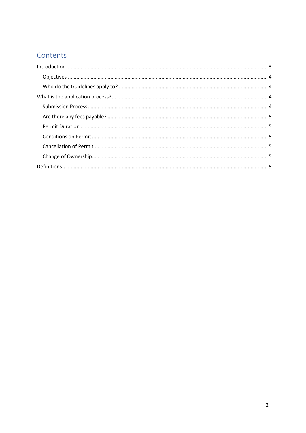# Contents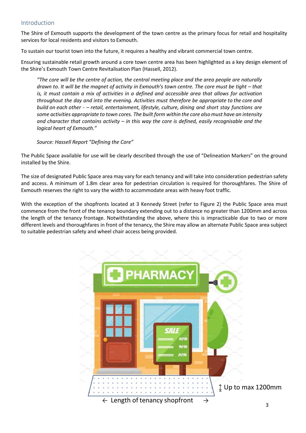# <span id="page-2-0"></span>Introduction

The Shire of Exmouth supports the development of the town centre as the primary focus for retail and hospitality services for local residents and visitors to Exmouth.

To sustain our tourist town into the future, it requires a healthy and vibrant commercial town centre.

Ensuring sustainable retail growth around a core town centre area has been highlighted as a key design element of the Shire's Exmouth Town Centre Revitalisation Plan (Hassell, 2012).

*"The core will be the centre of action, the central meeting place and the area people are naturally drawn to. It will be the magnet of activity in Exmouth's town centre. The core must be tight – that is, it must contain a mix of activities in a defined and accessible area that allows for activation throughout the day and into the evening. Activities must therefore be appropriate to the core and build on each other - – retail, entertainment, lifestyle, culture, dining and short stay functions are some activities appropriate to town cores. The built form within the core alsomust have an intensity and character that contains activity – in this way the core is defined, easily recognisable and the logical heart of Exmouth."*

#### *Source: Hassell Report "Defining the Core"*

The Public Space available for use will be clearly described through the use of "Delineation Markers" on the ground installed by the Shire.

The size of designated Public Space area may vary for each tenancy and will take into consideration pedestrian safety and access. A minimum of 1.8m clear area for pedestrian circulation is required for thoroughfares. The Shire of Exmouth reserves the right to vary the width to accommodate areas with heavy foot traffic.

With the exception of the shopfronts located at 3 Kennedy Street (refer to Figure 2) the Public Space area must commence from the front of the tenancy boundary extending out to a distance no greater than 1200mm and across the length of the tenancy frontage. Notwithstanding the above, where this is impracticable due to two or more different levels and thoroughfares in front of the tenancy, the Shire may allow an alternate Public Space area subject to suitable pedestrian safety and wheel chair access being provided.

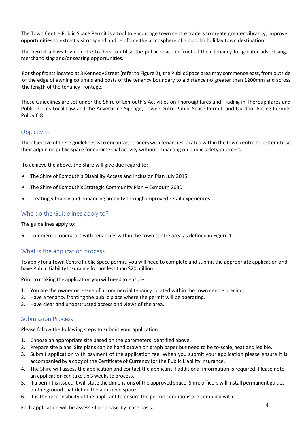The Town Centre Public Space Permit is a tool to encourage town centre traders to create greater vibrancy, improve opportunities to extract visitor spend and reinforce the atmosphere of a popular holiday town destination.

The permit allows town centre traders to utilise the public space in front of their tenancy for greater advertising, merchandising and/or seating opportunities.

For shopfronts located at 3 Kennedy Street (refer to Figure 2), the Public Space area may commence east, from outside of the edge of awning columns and posts of the tenancy boundary to a distance no greater than 1200mm and across the length of the tenancy frontage.

These Guidelines are set under the Shire of Exmouth's Activities on Thoroughfares and Trading in Thoroughfares and Public Places Local Law and the Advertising Signage, Town Centre Public Space Permit, and Outdoor Eating Permits Policy 6.8.

# <span id="page-3-0"></span>**Objectives**

The objective of these guidelines is to encourage traders with tenancies located within the town centre to better utilise their adjoining public space for commercial activity without impacting on public safety or access.

To achieve the above, the Shire will give due regard to:

- The Shire of Exmouth's Disability Access and Inclusion Plan July 2015.
- The Shire of Exmouth's Strategic Community Plan Exmouth 2030.
- Creating vibrancy and enhancing amenity through improved retail experiences.

# <span id="page-3-1"></span>Who do the Guidelines apply to?

The guidelines apply to:

• Commercial operators with tenancies within the town centre area as defined in Figure 1.

# <span id="page-3-2"></span>What is the application process?

To apply for a Town Centre Public Space permit, you will need to complete and submit the appropriate application and have Public Liability Insurance for not less than \$20 million.

Prior to making the application you will need to ensure:

- 1. You are the owner or lessee of a commercial tenancy located within the town centre precinct.
- 2. Have a tenancy fronting the public place where the permit will be operating.
- 3. Have clear and unobstructed access and views of the area.

#### <span id="page-3-3"></span>Submission Process

Please follow the following steps to submit your application:

- 1. Choose an appropriate site based on the parameters identified above.
- 2. Prepare site plans. Site plans can be hand drawn on graph paper but need to be to-scale, neat and legible.
- 3. Submit application with payment of the application fee. When you submit your application please ensure it is accompanied by a copy of the Certificate of Currency for the Public Liability Insurance.
- 4. The Shire will assess the application and contact the applicant if additional information is required. Please note an application can take up 3 weeksto process.
- 5. If a permit is issued it will state the dimensions of the approved space. Shire officers will install permanent guides on the ground that define the approved space.
- 6. It is the responsibility of the applicant to ensure the permit conditions are complied with.

Each application will be assessed on a case-by- case basis.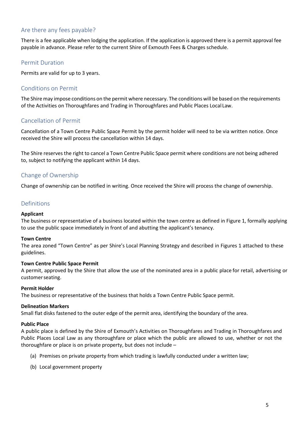# <span id="page-4-0"></span>Are there any fees payable?

There is a fee applicable when lodging the application. If the application is approved there is a permit approval fee payable in advance. Please refer to the current Shire of Exmouth Fees & Charges schedule.

# <span id="page-4-1"></span>Permit Duration

Permits are valid for up to 3 years.

#### <span id="page-4-2"></span>Conditions on Permit

The Shire may impose conditions on the permit where necessary. The conditions will be based on the requirements of the Activities on Thoroughfares and Trading in Thoroughfares and Public Places Local Law.

#### <span id="page-4-3"></span>Cancellation of Permit

Cancellation of a Town Centre Public Space Permit by the permit holder will need to be via written notice. Once received the Shire will process the cancellation within 14 days.

The Shire reserves the right to cancel a Town Centre Public Space permit where conditions are not being adhered to, subject to notifying the applicant within 14 days.

# <span id="page-4-4"></span>Change of Ownership

Change of ownership can be notified in writing. Once received the Shire will process the change of ownership.

#### <span id="page-4-5"></span>Definitions

#### **Applicant**

The business or representative of a business located within the town centre as defined in Figure 1, formally applying to use the public space immediately in front of and abutting the applicant's tenancy.

#### **Town Centre**

The area zoned "Town Centre" as per Shire's Local Planning Strategy and described in Figures 1 attached to these guidelines.

#### **Town Centre Public Space Permit**

A permit, approved by the Shire that allow the use of the nominated area in a public place for retail, advertising or customer seating.

#### **Permit Holder**

The business or representative of the business that holds a Town Centre Public Space permit.

#### **Delineation Markers**

Small flat disks fastened to the outer edge of the permit area, identifying the boundary of the area.

#### **Public Place**

A public place is defined by the Shire of Exmouth's Activities on Thoroughfares and Trading in Thoroughfares and Public Places Local Law as any thoroughfare or place which the public are allowed to use, whether or not the thoroughfare or place is on private property, but does not include –

- (a) Premises on private property from which trading is lawfully conducted under a written law;
- (b) Local government property